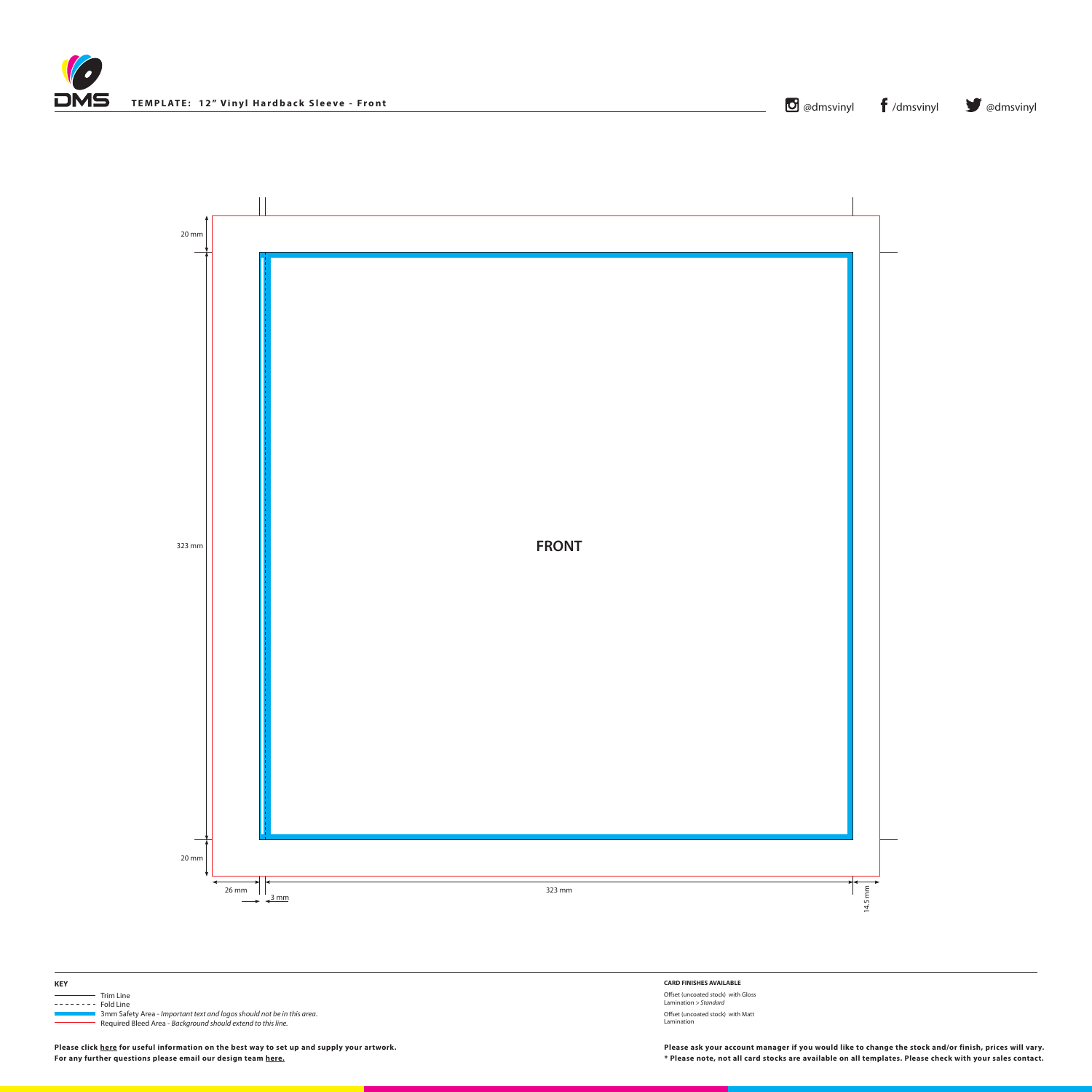